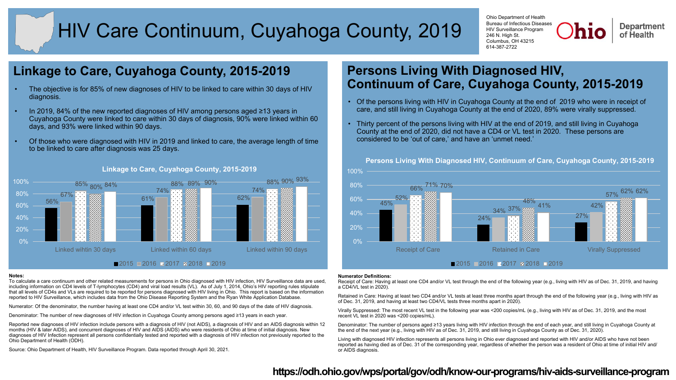# HIV Care Continuum, Cuyahoga County, 2019

Ohio Department of Health Bureau of Infectious Diseases HIV Surveillance Program 246 N. High St. Columbus, OH 43215 614-387-2722

**Department** of Health

## **Linkage to Care, Cuyahoga County, 2015-2019**

- The objective is for 85% of new diagnoses of HIV to be linked to care within 30 days of HIV diagnosis.
- In 2019, 84% of the new reported diagnoses of HIV among persons aged ≥13 years in Cuyahoga County were linked to care within 30 days of diagnosis, 90% were linked within 60 days, and 93% were linked within 90 days.
- Of those who were diagnosed with HIV in 2019 and linked to care, the average length of time to be linked to care after diagnosis was 25 days.



### **Linkage to Care, Cuyahoga County, 2015-2019**

#### **Notes:**

To calculate a care continuum and other related measurements for persons in Ohio diagnosed with HIV infection, HIV Surveillance data are used, including information on CD4 levels of T-lymphocytes (CD4) and viral load results (VL). As of July 1, 2014, Ohio's HIV reporting rules stipulate that all levels of CD4s and VLs are required to be reported for persons diagnosed with HIV living in Ohio. This report is based on the information reported to HIV Surveillance, which includes data from the Ohio Disease Reporting System and the Ryan White Application Database.

Numerator: Of the denominator, the number having at least one CD4 and/or VL test within 30, 60, and 90 days of the date of HIV diagnosis.

Denominator: The number of new diagnoses of HIV infection in Cuyahoga County among persons aged ≥13 years in each year.

Reported new diagnoses of HIV infection include persons with a diagnosis of HIV (not AIDS), a diagnosis of HIV and an AIDS diagnosis within 12 months (HIV & later AIDS), and concurrent diagnoses of HIV and AIDS (AIDS) who were residents of Ohio at time of initial diagnosis. New diagnoses of HIV Infection represent all persons confidentially tested and reported with a diagnosis of HIV infection not previously reported to the Ohio Department of Health (ODH).

Source: Ohio Department of Health, HIV Surveillance Program. Data reported through April 30, 2021.

## **Persons Living With Diagnosed HIV, Continuum of Care, Cuyahoga County, 2015-2019**

- Of the persons living with HIV in Cuyahoga County at the end of 2019 who were in receipt of care, and still living in Cuyahoga County at the end of 2020, 89% were virally suppressed.
- Thirty percent of the persons living with HIV at the end of 2019, and still living in Cuyahoga County at the end of 2020, did not have a CD4 or VL test in 2020. These persons are considered to be 'out of care,' and have an 'unmet need.'



## **Persons Living With Diagnosed HIV, Continuum of Care, Cuyahoga County, 2015-2019**

### **Numerator Definitions:**

Receipt of Care: Having at least one CD4 and/or VL test through the end of the following year (e.g., living with HIV as of Dec. 31, 2019, and having a CD4/VL test in 2020).

Retained in Care: Having at least two CD4 and/or VL tests at least three months apart through the end of the following year (e.g., living with HIV as of Dec. 31, 2019, and having at least two CD4/VL tests three months apart in 2020).

Virally Suppressed: The most recent VL test in the following year was <200 copies/mL (e.g., living with HIV as of Dec. 31, 2019, and the most recent VL test in 2020 was <200 copies/mL).

Denominator: The number of persons aged ≥13 years living with HIV infection through the end of each year, and still living in Cuyahoga County at the end of the next year (e.g., living with HIV as of Dec. 31, 2019, and still living in Cuyahoga County as of Dec. 31, 2020).

Living with diagnosed HIV infection represents all persons living in Ohio ever diagnosed and reported with HIV and/or AIDS who have not been reported as having died as of Dec. 31 of the corresponding year, regardless of whether the person was a resident of Ohio at time of initial HIV and/ or AIDS diagnosis.

### **<https://odh.ohio.gov/wps/portal/gov/odh/know-our-programs/hiv-aids-surveillance-program>**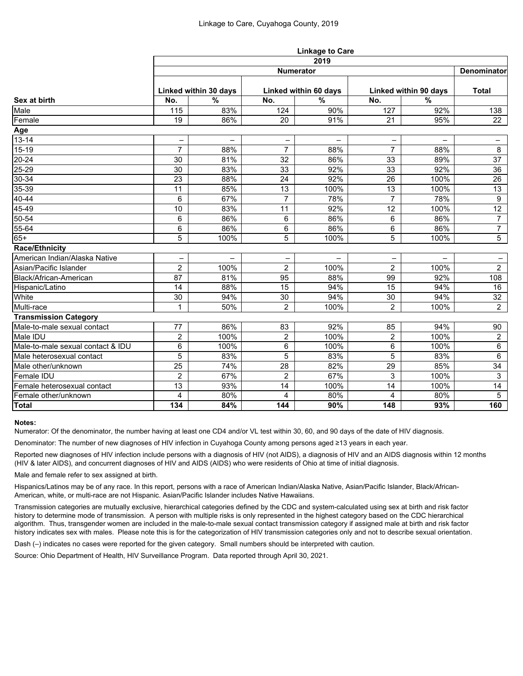|                                   | <b>Linkage to Care</b>   |                          |                       |               |                       |               |                 |  |  |  |  |
|-----------------------------------|--------------------------|--------------------------|-----------------------|---------------|-----------------------|---------------|-----------------|--|--|--|--|
|                                   |                          | 2019<br><b>Numerator</b> |                       |               |                       |               |                 |  |  |  |  |
| Sex at birth                      |                          | <b>Denominator</b>       |                       |               |                       |               |                 |  |  |  |  |
|                                   | Linked within 30 days    |                          | Linked within 60 days |               | Linked within 90 days |               | <b>Total</b>    |  |  |  |  |
|                                   | No.                      | $\frac{0}{0}$            | No.                   | $\frac{9}{6}$ | No.                   | $\frac{9}{6}$ |                 |  |  |  |  |
| Male                              | 115                      | 83%                      | 124                   | 90%           | 127                   | 92%           | 138             |  |  |  |  |
| Female                            | 19                       | 86%                      | 20                    | 91%           | 21                    | 95%           | 22              |  |  |  |  |
| Age                               |                          |                          |                       |               |                       |               |                 |  |  |  |  |
| $13 - 14$                         | -                        |                          |                       |               |                       |               | -               |  |  |  |  |
| 15-19                             | $\overline{7}$           | 88%                      | $\overline{7}$        | 88%           | $\overline{7}$        | 88%           | 8               |  |  |  |  |
| $\overline{20} - 24$              | 30                       | 81%                      | 32                    | 86%           | 33                    | 89%           | 37              |  |  |  |  |
| $25 - 29$                         | 30                       | 83%                      | 33                    | 92%           | 33                    | 92%           | 36              |  |  |  |  |
| $30 - 34$                         | 23                       | 88%                      | 24                    | 92%           | 26                    | 100%          | 26              |  |  |  |  |
| 35-39                             | 11                       | 85%                      | 13                    | 100%          | 13                    | 100%          | 13              |  |  |  |  |
| 40-44                             | 6                        | 67%                      | 7                     | 78%           | $\overline{7}$        | 78%           | 9               |  |  |  |  |
| 45-49                             | 10                       | 83%                      | 11                    | 92%           | 12                    | 100%          | 12 <sup>°</sup> |  |  |  |  |
| 50-54                             | 6                        | 86%                      | 6                     | 86%           | 6                     | 86%           | $\overline{7}$  |  |  |  |  |
| 55-64                             | 6                        | 86%                      | 6                     | 86%           | 6                     | 86%           | $\overline{7}$  |  |  |  |  |
| $65+$                             | 5                        | 100%                     | 5                     | 100%          | 5                     | 100%          | $5\phantom{.0}$ |  |  |  |  |
| <b>Race/Ethnicity</b>             |                          |                          |                       |               |                       |               |                 |  |  |  |  |
| American Indian/Alaska Native     | $\overline{\phantom{0}}$ |                          |                       | -             |                       | -             |                 |  |  |  |  |
| Asian/Pacific Islander            | $\overline{2}$           | 100%                     | $\overline{2}$        | 100%          | $\overline{2}$        | 100%          | 2 <sup>1</sup>  |  |  |  |  |
| Black/African-American            | 87                       | 81%                      | 95                    | 88%           | 99                    | 92%           | 108             |  |  |  |  |
| Hispanic/Latino                   | 14                       | 88%                      | 15                    | 94%           | 15                    | 94%           | 16              |  |  |  |  |
| White                             | 30                       | 94%                      | 30                    | 94%           | 30                    | 94%           | 32              |  |  |  |  |
| Multi-race                        | 1                        | 50%                      | $\overline{2}$        | 100%          | $\overline{2}$        | 100%          | $2^{\circ}$     |  |  |  |  |
| <b>Transmission Category</b>      |                          |                          |                       |               |                       |               |                 |  |  |  |  |
| Male-to-male sexual contact       | 77                       | 86%                      | 83                    | 92%           | 85                    | 94%           | 90              |  |  |  |  |
| Male IDU                          | $\overline{2}$           | 100%                     | $\overline{2}$        | 100%          | $\overline{2}$        | 100%          | $\overline{2}$  |  |  |  |  |
| Male-to-male sexual contact & IDU | 6                        | 100%                     | 6                     | 100%          | 6                     | 100%          | 6               |  |  |  |  |
| Male heterosexual contact         | 5                        | 83%                      | 5                     | 83%           | 5                     | 83%           | 6               |  |  |  |  |
| Male other/unknown                | 25                       | 74%                      | 28                    | 82%           | 29                    | 85%           | 34              |  |  |  |  |
| Female IDU                        | $\overline{2}$           | 67%                      | $\overline{2}$        | 67%           | 3                     | 100%          | $\mathbf{3}$    |  |  |  |  |
| Female heterosexual contact       | 13                       | 93%                      | 14                    | 100%          | 14                    | 100%          | 14              |  |  |  |  |
| Female other/unknown              | 4                        | 80%                      | 4                     | 80%           | 4                     | 80%           | 5               |  |  |  |  |
| Total                             | 134                      | 84%                      | 144                   | 90%           | 148                   | 93%           | 160             |  |  |  |  |

### **Notes:**

Numerator: Of the denominator, the number having at least one CD4 and/or VL test within 30, 60, and 90 days of the date of HIV diagnosis.

Denominator: The number of new diagnoses of HIV infection in Cuyahoga County among persons aged ≥13 years in each year.

Reported new diagnoses of HIV infection include persons with a diagnosis of HIV (not AIDS), a diagnosis of HIV and an AIDS diagnosis within 12 months (HIV & later AIDS), and concurrent diagnoses of HIV and AIDS (AIDS) who were residents of Ohio at time of initial diagnosis.

Male and female refer to sex assigned at birth.

Hispanics/Latinos may be of any race. In this report, persons with a race of American Indian/Alaska Native, Asian/Pacific Islander, Black/African-American, white, or multi-race are not Hispanic. Asian/Pacific Islander includes Native Hawaiians.

Transmission categories are mutually exclusive, hierarchical categories defined by the CDC and system-calculated using sex at birth and risk factor history to determine mode of transmission. A person with multiple risks is only represented in the highest category based on the CDC hierarchical algorithm. Thus, transgender women are included in the male-to-male sexual contact transmission category if assigned male at birth and risk factor history indicates sex with males. Please note this is for the categorization of HIV transmission categories only and not to describe sexual orientation.

Dash (–) indicates no cases were reported for the given category. Small numbers should be interpreted with caution.

Source: Ohio Department of Health, HIV Surveillance Program. Data reported through April 30, 2021.